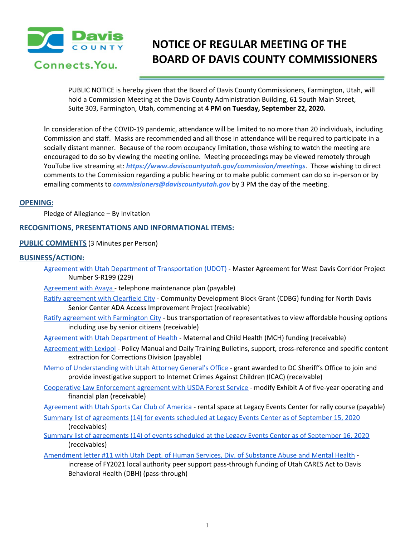

# **NOTICE OF REGULAR MEETING OF THE BOARD OF DAVIS COUNTY COMMISSIONERS**

PUBLIC NOTICE is hereby given that the Board of Davis County Commissioners, Farmington, Utah, will hold a Commission Meeting at the Davis County Administration Building, 61 South Main Street, Suite 303, Farmington, Utah, commencing at **4 PM on Tuesday, September 22, 2020.**

In consideration of the COVID-19 pandemic, attendance will be limited to no more than 20 individuals, including Commission and staff. Masks are recommended and all those in attendance will be required to participate in a socially distant manner. Because of the room occupancy limitation, those wishing to watch the meeting are encouraged to do so by viewing the meeting online. Meeting proceedings may be viewed remotely through YouTube live streaming at: *https://www.daviscountyutah.gov/commission/meetings*. Those wishing to direct comments to the Commission regarding a public hearing or to make public comment can do so in-person or by emailing comments to *commissioners@daviscountyutah.gov* by 3 PM the day of the meeting.

## **OPENING:**

Pledge of Allegiance – By Invitation

## **RECOGNITIONS, PRESENTATIONS AND INFORMATIONAL ITEMS:**

#### **PUBLIC COMMENTS** (3 Minutes per Person)

#### **BUSINESS/ACTION:**

- Agreement with Utah Department of [Transportation](https://drive.google.com/file/d/1cWg1ayqZPislhCJwCao6GXpR_TP14zIo/view?usp=drivesdk) (UDOT) Master Agreement for West Davis Corridor Project Number S-R199 (229)
- [Agreement](https://drive.google.com/file/d/1GC3UGFmYHn5M2guK1MkdXMkidK2Y9utj/view?usp=drivesdk) with Avaya telephone maintenance plan (payable)
- Ratify [agreement](https://drive.google.com/file/d/17P4dRrfdKon5BTp6_ZDt4sdTWspF4HvD/view?usp=drivesdk) with Clearfield City Community Development Block Grant (CDBG) funding for North Davis Senior Center ADA Access Improvement Project (receivable)
- Ratify agreement with [Farmington](https://drive.google.com/file/d/1kMaZVFCYTRVf2PZGbQuxtH9G2BbsYFVw/view?usp=drivesdk) City bus transportation of representatives to view affordable housing options including use by senior citizens (receivable)
- Agreement with Utah [Department](https://drive.google.com/file/d/12EYF6RxdHY8Ik-2TnvcEwH1uWJnAQQSm/view?usp=drivesdk) of Health Maternal and Child Health (MCH) funding (receivable)
- [Agreement](https://drive.google.com/file/d/1x_tY6bX0BwlA1NVXCICx8wCJjO1JpQKL/view?usp=drivesdk) with Lexipol Policy Manual and Daily Training Bulletins, support, cross-reference and specific content extraction for Corrections Division (payable)
- Memo of [Understanding](https://drive.google.com/file/d/1_9LrcrBRXOHbP7XfTdwjQqIWTUWdpTxh/view?usp=drivesdk) with Utah Attorney General's Office grant awarded to DC Sheriff's Office to join and provide investigative support to Internet Crimes Against Children (ICAC) (receivable)
- Cooperative Law [Enforcement](https://drive.google.com/file/d/1yLgLdiOBW3QWzDiMrbdGo60luXD8VJnY/view?usp=drivesdk) agreement with USDA Forest Service modify Exhibit A of five-year operating and financial plan (receivable)
- [Agreement](https://drive.google.com/file/d/1H52p1wsFEqXqtoFR9_AgnplKFc2ZChfY/view?usp=drivesdk) with Utah Sports Car Club of America rental space at Legacy Events Center for rally course (payable)
- Summary list of [agreements](https://drive.google.com/file/d/1oDROTeyCl-T5IxjvDbscpQm8EqAzTSic/view?usp=drivesdk) (14) for events scheduled at Legacy Events Center as of September 15, 2020 (receivables)
- Summary list of [agreements](https://drive.google.com/file/d/1llMXVllfVAmyoWmcyQkNhVw5IOev-hoc/view?usp=drivesdk) (14) of events scheduled at the Legacy Events Center as of September 16, 2020 (receivables)
- [Amendment](https://drive.google.com/file/d/15JZ1B7P_WUeAs58GPHHCcVSfmL1YGpkr/view?usp=drivesdk) letter #11 with Utah Dept. of Human Services, Div. of Substance Abuse and Mental Health increase of FY2021 local authority peer support pass-through funding of Utah CARES Act to Davis Behavioral Health (DBH) (pass-through)